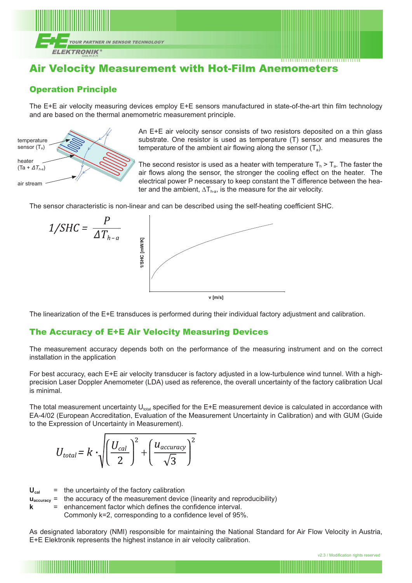

# Air Velocity Measurement with Hot-Film Anemometers

## Operation Principle

The E+E air velocity measuring devices employ E+E sensors manufactured in state-of-the-art thin film technology and are based on the thermal anemometric measurement principle.



An E+E air velocity sensor consists of two resistors deposited on a thin glass substrate. One resistor is used as temperature (T) sensor and measures the temperature of the ambient air flowing along the sensor  $(T_a)$ .

The second resistor is used as a heater with temperature  $T_h > T_a$ . The faster the air flows along the sensor, the stronger the cooling effect on the heater. The electrical power P necessary to keep constant the T difference between the heater and the ambient,  $\Delta T_{h-a}$ , is the measure for the air velocity.

The sensor characteristic is non-linear and can be described using the self-heating coefficient SHC.



The linearization of the E+E transduces is performed during their individual factory adjustment and calibration.

### The Accuracy of E+E Air Velocity Measuring Devices

The measurement accuracy depends both on the performance of the measuring instrument and on the correct installation in the application

For best accuracy, each E+E air velocity transducer is factory adjusted in a low-turbulence wind tunnel. With a highprecision Laser Doppler Anemometer (LDA) used as reference, the overall uncertainty of the factory calibration Ucal is minimal.

The total measurement uncertainty  $U_{total}$  specified for the E+E measurement device is calculated in accordance with EA-4/02 (European Accreditation, Evaluation of the Measurement Uncertainty in Calibration) and with GUM (Guide to the Expression of Uncertainty in Measurement).

$$
U_{total} = k \cdot \sqrt{\left(\frac{U_{cal}}{2}\right)^2 + \left(\frac{u_{accuracy}}{\sqrt{3}}\right)^2}
$$

 $U_{\text{cal}}$  = the uncertainty of the factory calibration

**uaccuracy** = the accuracy of the measurement device (linearity and reproducibility)

**k** = enhancement factor which defines the confidence interval.

Commonly k=2, corresponding to a confidence level of 95%.

As designated laboratory (NMI) responsible for maintaining the National Standard for Air Flow Velocity in Austria, E+E Elektronik represents the highest instance in air velocity calibration.